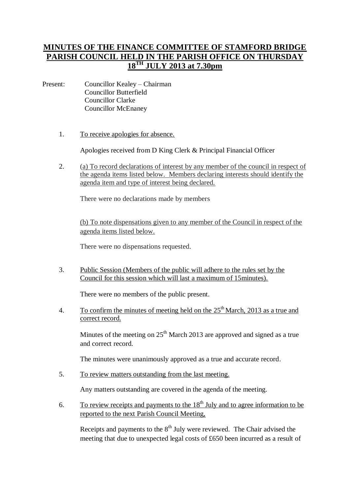## **MINUTES OF THE FINANCE COMMITTEE OF STAMFORD BRIDGE PARISH COUNCIL HELD IN THE PARISH OFFICE ON THURSDAY 18TH JULY 2013 at 7.30pm**

- Present: Councillor Kealey Chairman Councillor Butterfield Councillor Clarke Councillor McEnaney
	- 1. To receive apologies for absence.

Apologies received from D King Clerk & Principal Financial Officer

2. (a) To record declarations of interest by any member of the council in respect of the agenda items listed below. Members declaring interests should identify the agenda item and type of interest being declared.

There were no declarations made by members

(b) To note dispensations given to any member of the Council in respect of the agenda items listed below.

There were no dispensations requested.

3. Public Session (Members of the public will adhere to the rules set by the Council for this session which will last a maximum of 15minutes).

There were no members of the public present.

4. To confirm the minutes of meeting held on the  $25<sup>th</sup>$  March, 2013 as a true and correct record.

Minutes of the meeting on  $25<sup>th</sup>$  March 2013 are approved and signed as a true and correct record.

The minutes were unanimously approved as a true and accurate record.

5. To review matters outstanding from the last meeting.

Any matters outstanding are covered in the agenda of the meeting.

6. To review receipts and payments to the  $18<sup>th</sup>$  July and to agree information to be reported to the next Parish Council Meeting,

Receipts and payments to the  $8<sup>th</sup>$  July were reviewed. The Chair advised the meeting that due to unexpected legal costs of £650 been incurred as a result of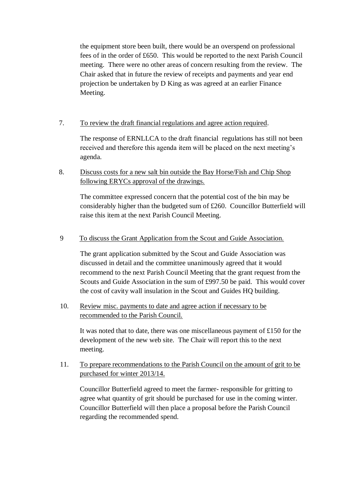the equipment store been built, there would be an overspend on professional fees of in the order of £650. This would be reported to the next Parish Council meeting. There were no other areas of concern resulting from the review. The Chair asked that in future the review of receipts and payments and year end projection be undertaken by D King as was agreed at an earlier Finance Meeting.

7. To review the draft financial regulations and agree action required.

The response of ERNLLCA to the draft financial regulations has still not been received and therefore this agenda item will be placed on the next meeting's agenda.

8. Discuss costs for a new salt bin outside the Bay Horse/Fish and Chip Shop following ERYCs approval of the drawings.

The committee expressed concern that the potential cost of the bin may be considerably higher than the budgeted sum of £260. Councillor Butterfield will raise this item at the next Parish Council Meeting.

9 To discuss the Grant Application from the Scout and Guide Association.

The grant application submitted by the Scout and Guide Association was discussed in detail and the committee unanimously agreed that it would recommend to the next Parish Council Meeting that the grant request from the Scouts and Guide Association in the sum of £997.50 be paid. This would cover the cost of cavity wall insulation in the Scout and Guides HQ building.

10. Review misc. payments to date and agree action if necessary to be recommended to the Parish Council.

It was noted that to date, there was one miscellaneous payment of £150 for the development of the new web site. The Chair will report this to the next meeting.

11. To prepare recommendations to the Parish Council on the amount of grit to be purchased for winter 2013/14.

Councillor Butterfield agreed to meet the farmer- responsible for gritting to agree what quantity of grit should be purchased for use in the coming winter. Councillor Butterfield will then place a proposal before the Parish Council regarding the recommended spend.